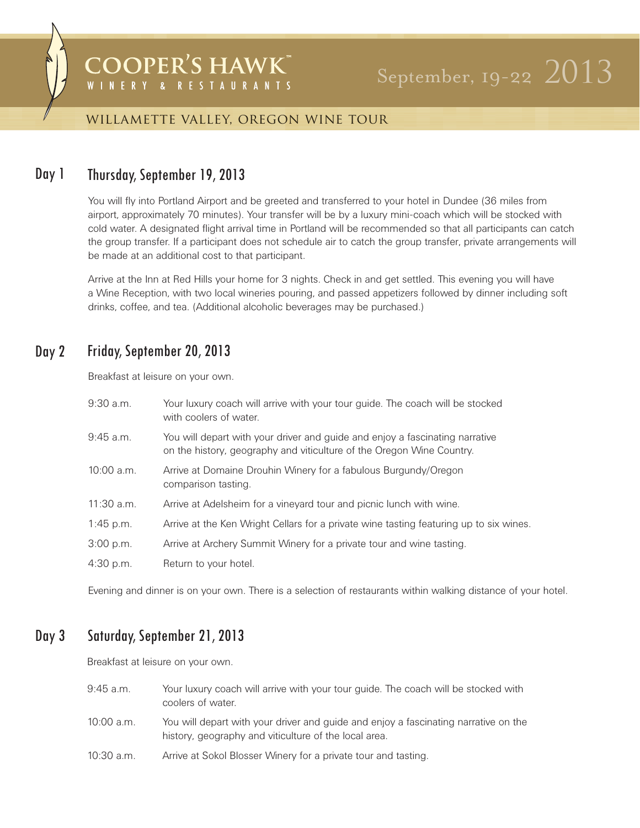### **COOPER'S HAWK RESTAURANTS**  $\mathbf{g}$

## willamette valley, oregon wine tour

#### Day 1 Thursday, September 19, 2013

You will fly into Portland Airport and be greeted and transferred to your hotel in Dundee (36 miles from airport, approximately 70 minutes). Your transfer will be by a luxury mini-coach which will be stocked with cold water. A designated flight arrival time in Portland will be recommended so that all participants can catch the group transfer. If a participant does not schedule air to catch the group transfer, private arrangements will be made at an additional cost to that participant.

Arrive at the Inn at Red Hills your home for 3 nights. Check in and get settled. This evening you will have a Wine Reception, with two local wineries pouring, and passed appetizers followed by dinner including soft drinks, coffee, and tea. (Additional alcoholic beverages may be purchased.)

## Day 2 Friday, September 20, 2013

Breakfast at leisure on your own.

| $9:30$ a.m.  | Your luxury coach will arrive with your tour guide. The coach will be stocked<br>with coolers of water.                                               |  |
|--------------|-------------------------------------------------------------------------------------------------------------------------------------------------------|--|
| $9:45$ a.m.  | You will depart with your driver and guide and enjoy a fascinating narrative<br>on the history, geography and viticulture of the Oregon Wine Country. |  |
| $10:00$ a.m. | Arrive at Domaine Drouhin Winery for a fabulous Burgundy/Oregon<br>comparison tasting.                                                                |  |
| $11:30$ a.m. | Arrive at Adelsheim for a vineyard tour and picnic lunch with wine.                                                                                   |  |
| 1:45 p.m.    | Arrive at the Ken Wright Cellars for a private wine tasting featuring up to six wines.                                                                |  |
| 3:00 p.m.    | Arrive at Archery Summit Winery for a private tour and wine tasting.                                                                                  |  |
| 4:30 p.m.    | Return to your hotel.                                                                                                                                 |  |

Evening and dinner is on your own. There is a selection of restaurants within walking distance of your hotel.

#### Saturday, September 21, 2013 Day 3

Breakfast at leisure on your own.

| 9:45 a.m.  | Your luxury coach will arrive with your tour guide. The coach will be stocked with<br>coolers of water.                                      |
|------------|----------------------------------------------------------------------------------------------------------------------------------------------|
| 10:00 a.m. | You will depart with your driver and guide and enjoy a fascinating narrative on the<br>history, geography and viticulture of the local area. |

10:30 a.m. Arrive at Sokol Blosser Winery for a private tour and tasting.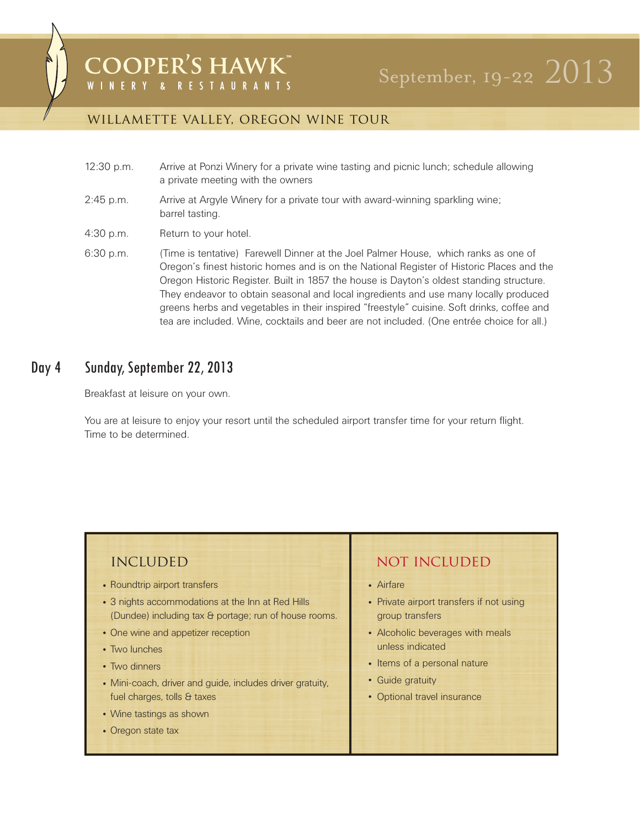**COOPER'S HAWK<sup>"</sup>** & RESTAURANTS WINERY

## willamette valley, oregon wine tour

- 12:30 p.m. Arrive at Ponzi Winery for a private wine tasting and picnic lunch; schedule allowing a private meeting with the owners
- 2:45 p.m. Arrive at Argyle Winery for a private tour with award-winning sparkling wine; barrel tasting.
- 4:30 p.m. Return to your hotel.
- 6:30 p.m. (Time is tentative) Farewell Dinner at the Joel Palmer House, which ranks as one of Oregon's finest historic homes and is on the National Register of Historic Places and the Oregon Historic Register. Built in 1857 the house is Dayton's oldest standing structure. They endeavor to obtain seasonal and local ingredients and use many locally produced greens herbs and vegetables in their inspired "freestyle" cuisine. Soft drinks, coffee and tea are included. Wine, cocktails and beer are not included. (One entrée choice for all.)

## Day 4 Sunday, September 22, 2013

Breakfast at leisure on your own.

You are at leisure to enjoy your resort until the scheduled airport transfer time for your return flight. Time to be determined.

| <b>INCLUDED</b>                                                                                                                                                                                                                                                                                                                                                   | <b>NOT INCLUDED</b>                                                                                                                                                                                                 |
|-------------------------------------------------------------------------------------------------------------------------------------------------------------------------------------------------------------------------------------------------------------------------------------------------------------------------------------------------------------------|---------------------------------------------------------------------------------------------------------------------------------------------------------------------------------------------------------------------|
| • Roundtrip airport transfers<br>• 3 nights accommodations at the Inn at Red Hills<br>(Dundee) including tax & portage; run of house rooms.<br>• One wine and appetizer reception<br>• Two lunches<br>• Two dinners<br>• Mini-coach, driver and guide, includes driver gratuity,<br>fuel charges, tolls & taxes<br>• Wine tastings as shown<br>• Oregon state tax | • Airfare<br>• Private airport transfers if not using<br>group transfers<br>• Alcoholic beverages with meals<br>unless indicated<br>• Items of a personal nature<br>• Guide gratuity<br>• Optional travel insurance |